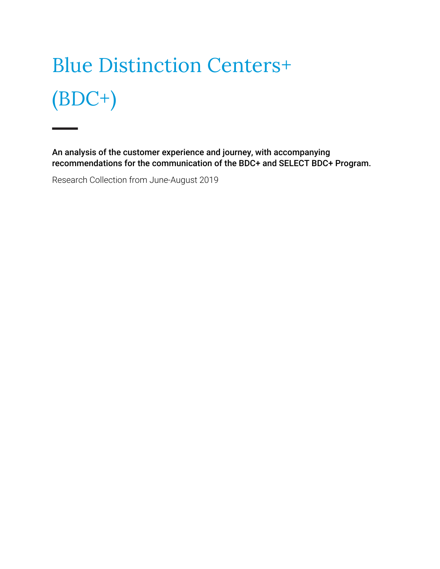# Blue Distinction Centers+ (BDC+)

An analysis of the customer experience and journey, with accompanying recommendations for the communication of the BDC+ and SELECT BDC+ Program.

Research Collection from June-August 2019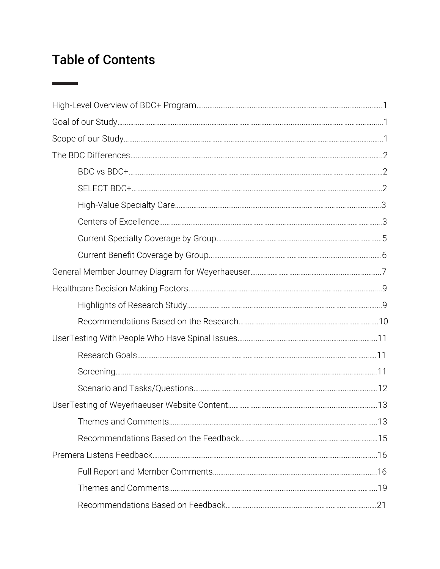# Table of Contents

 $\overline{\phantom{a}}$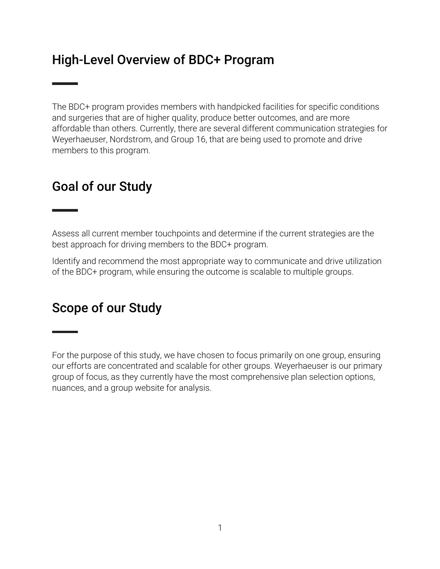# High-Level Overview of BDC+ Program

The BDC+ program provides members with handpicked facilities for specific conditions and surgeries that are of higher quality, produce better outcomes, and are more affordable than others. Currently, there are several different communication strategies for Weyerhaeuser, Nordstrom, and Group 16, that are being used to promote and drive members to this program.

# Goal of our Study

Assess all current member touchpoints and determine if the current strategies are the best approach for driving members to the BDC+ program.

Identify and recommend the most appropriate way to communicate and drive utilization of the BDC+ program, while ensuring the outcome is scalable to multiple groups.

# Scope of our Study

For the purpose of this study, we have chosen to focus primarily on one group, ensuring our efforts are concentrated and scalable for other groups. Weyerhaeuser is our primary group of focus, as they currently have the most comprehensive plan selection options, nuances, and a group website for analysis.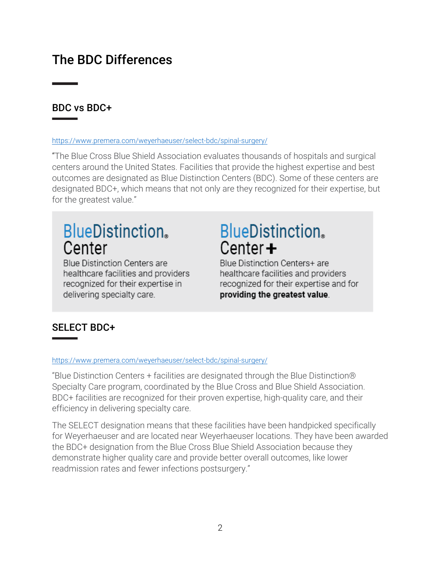# The BDC Differences

#### BDC vs BDC+

#### https://www.premera.com/weyerhaeuser/select-bdc/spinal-surgery/

"The Blue Cross Blue Shield Association evaluates thousands of hospitals and surgical centers around the United States. Facilities that provide the highest expertise and best outcomes are designated as Blue Distinction Centers (BDC). Some of these centers are designated BDC+, which means that not only are they recognized for their expertise, but for the greatest value."

# **BlueDistinction.** Center

**Blue Distinction Centers are** healthcare facilities and providers recognized for their expertise in delivering specialty care.

# **BlueDistinction.** Center $+$

Blue Distinction Centers+ are healthcare facilities and providers recognized for their expertise and for providing the greatest value.

#### SELECT BDC+

#### https://www.premera.com/weyerhaeuser/select-bdc/spinal-surgery/

"Blue Distinction Centers + facilities are designated through the Blue Distinction® Specialty Care program, coordinated by the Blue Cross and Blue Shield Association. BDC+ facilities are recognized for their proven expertise, high-quality care, and their efficiency in delivering specialty care.

The SELECT designation means that these facilities have been handpicked specifically for Weyerhaeuser and are located near Weyerhaeuser locations. They have been awarded the BDC+ designation from the Blue Cross Blue Shield Association because they demonstrate higher quality care and provide better overall outcomes, like lower readmission rates and fewer infections postsurgery."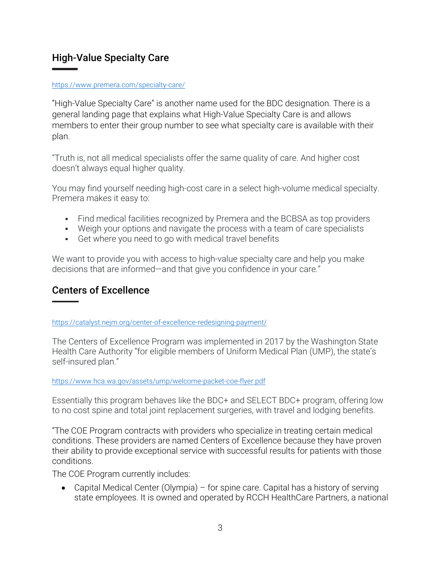#### High-Value Specialty Care

#### https://www.premera.com/specialty-care/

"High-Value Specialty Care" is another name used for the BDC designation. There is a general landing page that explains what High-Value Specialty Care is and allows members to enter their group number to see what specialty care is available with their plan.

"Truth is, not all medical specialists offer the same quality of care. And higher cost doesn't always equal higher quality.

You may find yourself needing high-cost care in a select high-volume medical specialty. Premera makes it easy to:

- Find medical facilities recognized by Premera and the BCBSA as top providers
- Weigh your options and navigate the process with a team of care specialists
- Get where you need to go with medical travel benefits

We want to provide you with access to high-value specialty care and help you make decisions that are informed—and that give you confidence in your care."

#### Centers of Excellence

https://catalyst.nejm.org/center-of-excellence-redesigning-payment/

The Centers of Excellence Program was implemented in 2017 by the Washington State Health Care Authority "for eligible members of Uniform Medical Plan (UMP), the state's self-insured plan."

#### https://www.hca.wa.gov/assets/ump/welcome-packet-coe-flyer.pdf

Essentially this program behaves like the BDC+ and SELECT BDC+ program, offering low to no cost spine and total joint replacement surgeries, with travel and lodging benefits.

"The COE Program contracts with providers who specialize in treating certain medical conditions. These providers are named Centers of Excellence because they have proven their ability to provide exceptional service with successful results for patients with those conditions.

The COE Program currently includes:

• Capital Medical Center (Olympia) – for spine care. Capital has a history of serving state employees. It is owned and operated by RCCH HealthCare Partners, a national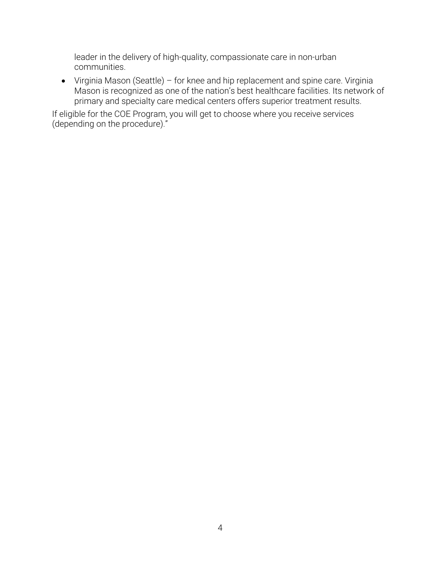leader in the delivery of high-quality, compassionate care in non-urban communities.

• Virginia Mason (Seattle) – for knee and hip replacement and spine care. Virginia Mason is recognized as one of the nation's best healthcare facilities. Its network of primary and specialty care medical centers offers superior treatment results.

If eligible for the COE Program, you will get to choose where you receive services (depending on the procedure)."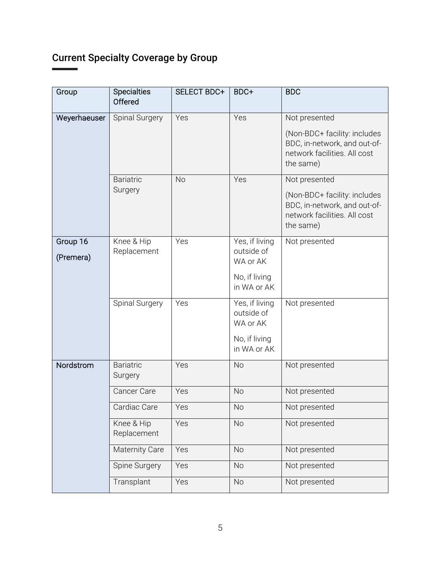# Current Specialty Coverage by Group

| Group        | <b>Specialties</b><br>Offered | SELECT BDC+ | BDC+                                     | <b>BDC</b>                                                                                                |
|--------------|-------------------------------|-------------|------------------------------------------|-----------------------------------------------------------------------------------------------------------|
| Weyerhaeuser | Spinal Surgery                | Yes         | Yes                                      | Not presented                                                                                             |
|              |                               |             |                                          | (Non-BDC+ facility: includes<br>BDC, in-network, and out-of-<br>network facilities. All cost<br>the same) |
|              | <b>Bariatric</b>              | <b>No</b>   | Yes                                      | Not presented                                                                                             |
|              | Surgery                       |             |                                          | (Non-BDC+ facility: includes<br>BDC, in-network, and out-of-<br>network facilities. All cost<br>the same) |
| Group 16     | Knee & Hip                    | Yes         | Yes, if living                           | Not presented                                                                                             |
| (Premera)    | Replacement                   |             | outside of<br>WA or AK                   |                                                                                                           |
|              |                               |             | No, if living<br>in WA or AK             |                                                                                                           |
|              | Spinal Surgery                | Yes         | Yes, if living<br>outside of<br>WA or AK | Not presented                                                                                             |
|              |                               |             | No, if living<br>in WA or AK             |                                                                                                           |
| Nordstrom    | <b>Bariatric</b><br>Surgery   | Yes         | <b>No</b>                                | Not presented                                                                                             |
|              | Cancer Care                   | Yes         | <b>No</b>                                | Not presented                                                                                             |
|              | Cardiac Care                  | Yes         | No                                       | Not presented                                                                                             |
|              | Knee & Hip<br>Replacement     | Yes         | <b>No</b>                                | Not presented                                                                                             |
|              | Maternity Care                | Yes         | <b>No</b>                                | Not presented                                                                                             |
|              | Spine Surgery                 | Yes         | <b>No</b>                                | Not presented                                                                                             |
|              | Transplant                    | Yes         | <b>No</b>                                | Not presented                                                                                             |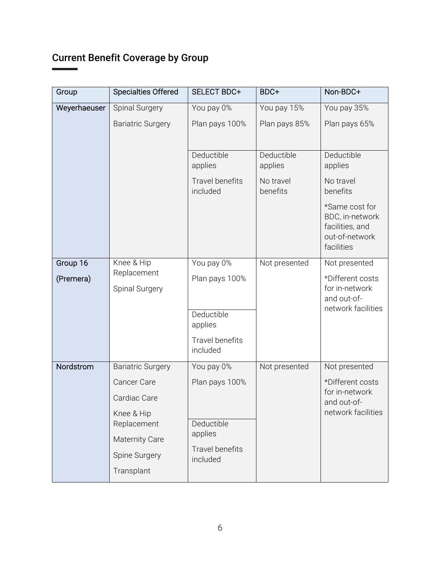# Current Benefit Coverage by Group

| Group                 | <b>Specialties Offered</b>                                                                                                                   | SELECT BDC+                                                                          | BDC+                                           | Non-BDC+                                                                                                                               |
|-----------------------|----------------------------------------------------------------------------------------------------------------------------------------------|--------------------------------------------------------------------------------------|------------------------------------------------|----------------------------------------------------------------------------------------------------------------------------------------|
| Weyerhaeuser          | Spinal Surgery                                                                                                                               | You pay 0%                                                                           | You pay 15%                                    | You pay 35%                                                                                                                            |
|                       | <b>Bariatric Surgery</b>                                                                                                                     | Plan pays 100%                                                                       | Plan pays 85%                                  | Plan pays 65%                                                                                                                          |
|                       |                                                                                                                                              | Deductible<br>applies<br><b>Travel benefits</b><br>included                          | Deductible<br>applies<br>No travel<br>benefits | Deductible<br>applies<br>No travel<br>benefits<br>*Same cost for<br>BDC, in-network<br>facilities, and<br>out-of-network<br>facilities |
| Group 16<br>(Premera) | Knee & Hip<br>Replacement<br>Spinal Surgery                                                                                                  | You pay 0%<br>Plan pays 100%<br>Deductible<br>applies<br>Travel benefits<br>included | Not presented                                  | Not presented<br>*Different costs<br>for in-network<br>and out-of-<br>network facilities                                               |
| Nordstrom             | <b>Bariatric Surgery</b><br><b>Cancer Care</b><br>Cardiac Care<br>Knee & Hip<br>Replacement<br>Maternity Care<br>Spine Surgery<br>Transplant | You pay 0%<br>Plan pays 100%<br>Deductible<br>applies<br>Travel benefits<br>included | Not presented                                  | Not presented<br>*Different costs<br>for in-network<br>and out-of-<br>network facilities                                               |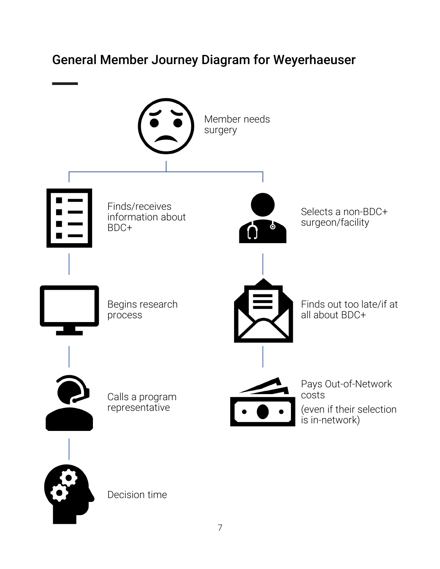# General Member Journey Diagram for Weyerhaeuser

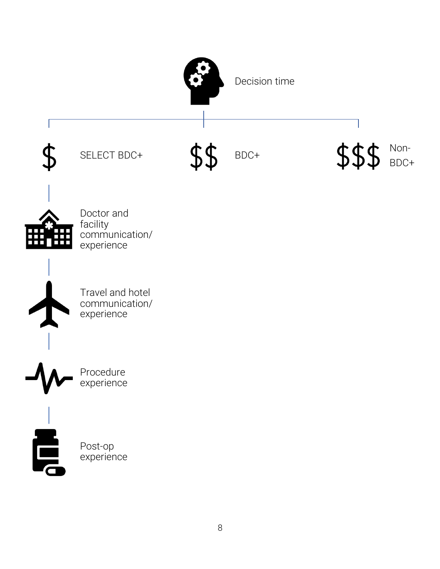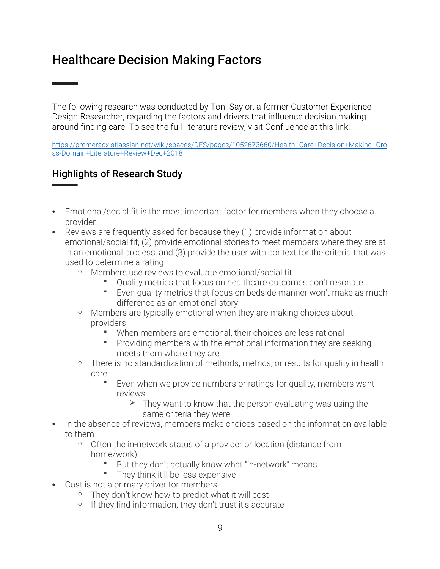# Healthcare Decision Making Factors

The following research was conducted by Toni Saylor, a former Customer Experience Design Researcher, regarding the factors and drivers that influence decision making around finding care. To see the full literature review, visit Confluence at this link:

https://premeracx.atlassian.net/wiki/spaces/DES/pages/1052673660/Health+Care+Decision+Making+Cro ss-Domain+Literature+Review+Dec+2018

#### Highlights of Research Study

- Emotional/social fit is the most important factor for members when they choose a provider
- Reviews are frequently asked for because they (1) provide information about emotional/social fit, (2) provide emotional stories to meet members where they are at in an emotional process, and (3) provide the user with context for the criteria that was used to determine a rating
	- o Members use reviews to evaluate emotional/social fit
		- § Quality metrics that focus on healthcare outcomes don't resonate
		- § Even quality metrics that focus on bedside manner won't make as much difference as an emotional story
	- o Members are typically emotional when they are making choices about providers
		- When members are emotional, their choices are less rational
		- § Providing members with the emotional information they are seeking meets them where they are
	- <sup>o</sup> There is no standardization of methods, metrics, or results for quality in health care
		- § Even when we provide numbers or ratings for quality, members want reviews
			- $\triangleright$  They want to know that the person evaluating was using the same criteria they were
- In the absence of reviews, members make choices based on the information available to them
	- o Often the in-network status of a provider or location (distance from home/work)
		- § But they don't actually know what "in-network" means
		- § They think it'll be less expensive
- Cost is not a primary driver for members
	- o They don't know how to predict what it will cost
	- If they find information, they don't trust it's accurate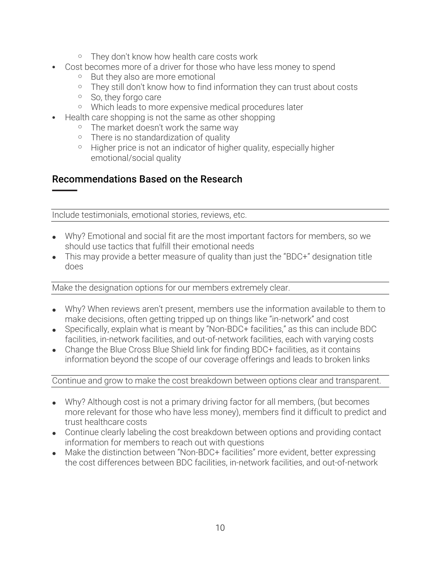- o They don't know how health care costs work
- Cost becomes more of a driver for those who have less money to spend
	- o But they also are more emotional
	- o They still don't know how to find information they can trust about costs
	- o So, they forgo care
	- o Which leads to more expensive medical procedures later
- Health care shopping is not the same as other shopping
	- o The market doesn't work the same way
	- o There is no standardization of quality
	- o Higher price is not an indicator of higher quality, especially higher emotional/social quality

#### Recommendations Based on the Research

Include testimonials, emotional stories, reviews, etc.

- Why? Emotional and social fit are the most important factors for members, so we should use tactics that fulfill their emotional needs
- This may provide a better measure of quality than just the "BDC+" designation title does

Make the designation options for our members extremely clear.

- Why? When reviews aren't present, members use the information available to them to make decisions, often getting tripped up on things like "in-network" and cost
- Specifically, explain what is meant by "Non-BDC+ facilities," as this can include BDC facilities, in-network facilities, and out-of-network facilities, each with varying costs
- Change the Blue Cross Blue Shield link for finding BDC+ facilities, as it contains information beyond the scope of our coverage offerings and leads to broken links

#### Continue and grow to make the cost breakdown between options clear and transparent.

- Why? Although cost is not a primary driving factor for all members, (but becomes more relevant for those who have less money), members find it difficult to predict and trust healthcare costs
- Continue clearly labeling the cost breakdown between options and providing contact information for members to reach out with questions
- Make the distinction between "Non-BDC+ facilities" more evident, better expressing the cost differences between BDC facilities, in-network facilities, and out-of-network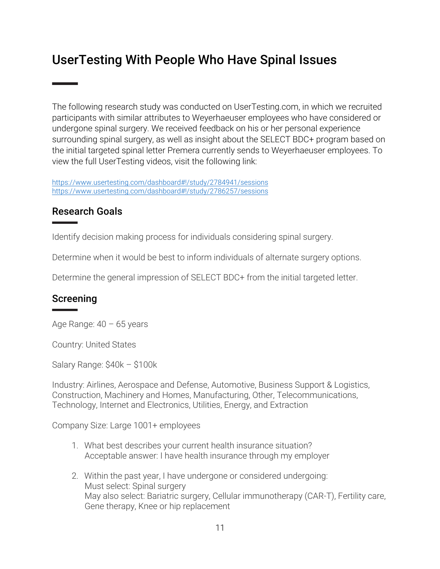# UserTesting With People Who Have Spinal Issues

The following research study was conducted on UserTesting.com, in which we recruited participants with similar attributes to Weyerhaeuser employees who have considered or undergone spinal surgery. We received feedback on his or her personal experience surrounding spinal surgery, as well as insight about the SELECT BDC+ program based on the initial targeted spinal letter Premera currently sends to Weyerhaeuser employees. To view the full UserTesting videos, visit the following link:

https://www.usertesting.com/dashboard#!/study/2784941/sessions https://www.usertesting.com/dashboard#!/study/2786257/sessions

#### Research Goals

Identify decision making process for individuals considering spinal surgery.

Determine when it would be best to inform individuals of alternate surgery options.

Determine the general impression of SELECT BDC+ from the initial targeted letter.

#### Screening

Age Range:  $40 - 65$  years

Country: United States

Salary Range: \$40k – \$100k

Industry: Airlines, Aerospace and Defense, Automotive, Business Support & Logistics, Construction, Machinery and Homes, Manufacturing, Other, Telecommunications, Technology, Internet and Electronics, Utilities, Energy, and Extraction

Company Size: Large 1001+ employees

- 1. What best describes your current health insurance situation? Acceptable answer: I have health insurance through my employer
- 2. Within the past year, I have undergone or considered undergoing: Must select: Spinal surgery May also select: Bariatric surgery, Cellular immunotherapy (CAR-T), Fertility care, Gene therapy, Knee or hip replacement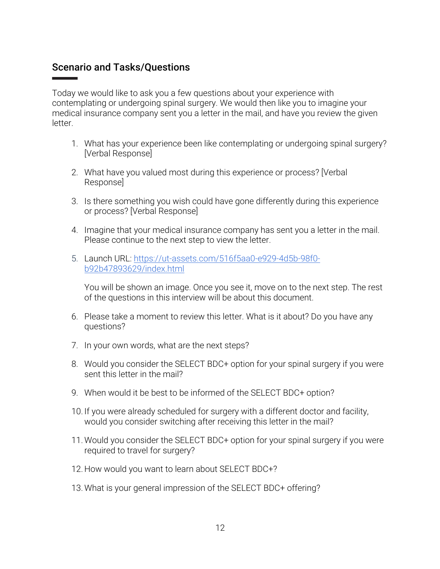#### Scenario and Tasks/Questions

Today we would like to ask you a few questions about your experience with contemplating or undergoing spinal surgery. We would then like you to imagine your medical insurance company sent you a letter in the mail, and have you review the given letter.

- 1. What has your experience been like contemplating or undergoing spinal surgery? [Verbal Response]
- 2. What have you valued most during this experience or process? [Verbal Response]
- 3. Is there something you wish could have gone differently during this experience or process? [Verbal Response]
- 4. Imagine that your medical insurance company has sent you a letter in the mail. Please continue to the next step to view the letter.
- 5. Launch URL: https://ut-assets.com/516f5aa0-e929-4d5b-98f0 b92b47893629/index.html

You will be shown an image. Once you see it, move on to the next step. The rest of the questions in this interview will be about this document.

- 6. Please take a moment to review this letter. What is it about? Do you have any questions?
- 7. In your own words, what are the next steps?
- 8. Would you consider the SELECT BDC+ option for your spinal surgery if you were sent this letter in the mail?
- 9. When would it be best to be informed of the SELECT BDC+ option?
- 10. If you were already scheduled for surgery with a different doctor and facility, would you consider switching after receiving this letter in the mail?
- 11. Would you consider the SELECT BDC+ option for your spinal surgery if you were required to travel for surgery?
- 12. How would you want to learn about SELECT BDC+?
- 13. What is your general impression of the SELECT BDC+ offering?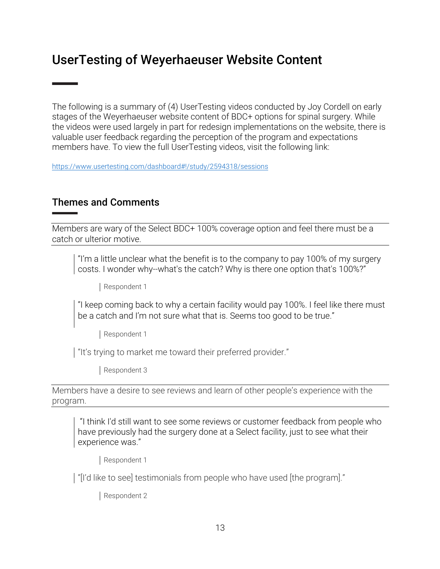## UserTesting of Weyerhaeuser Website Content

The following is a summary of (4) UserTesting videos conducted by Joy Cordell on early stages of the Weyerhaeuser website content of BDC+ options for spinal surgery. While the videos were used largely in part for redesign implementations on the website, there is valuable user feedback regarding the perception of the program and expectations members have. To view the full UserTesting videos, visit the following link:

https://www.usertesting.com/dashboard#!/study/2594318/sessions

#### Themes and Comments

Members are wary of the Select BDC+ 100% coverage option and feel there must be a catch or ulterior motive.

"I'm a little unclear what the benefit is to the company to pay 100% of my surgery costs. I wonder why--what's the catch? Why is there one option that's 100%?"

Respondent 1

"I keep coming back to why a certain facility would pay 100%. I feel like there must be a catch and I'm not sure what that is. Seems too good to be true."

Respondent 1

"It's trying to market me toward their preferred provider."

Respondent 3

Members have a desire to see reviews and learn of other people's experience with the program.

"I think I'd still want to see some reviews or customer feedback from people who have previously had the surgery done at a Select facility, just to see what their experience was."

Respondent 1

"[I'd like to see] testimonials from people who have used [the program]."

Respondent 2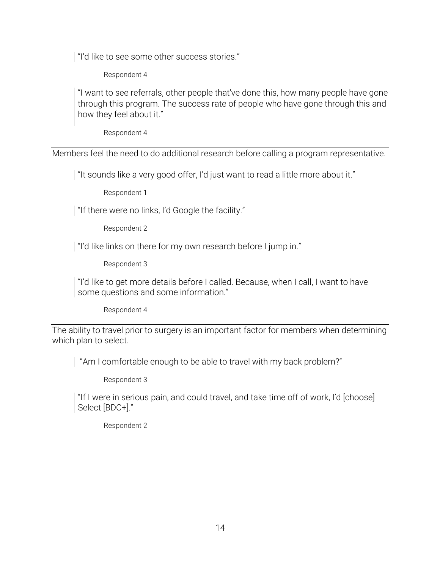I "I'd like to see some other success stories."

Respondent 4

"I want to see referrals, other people that've done this, how many people have gone through this program. The success rate of people who have gone through this and how they feel about it."

Respondent 4

Members feel the need to do additional research before calling a program representative.

I "It sounds like a very good offer, I'd just want to read a little more about it."

Respondent 1

I "If there were no links, I'd Google the facility."

Respondent 2

| "I'd like links on there for my own research before I jump in."

Respondent 3

"I'd like to get more details before I called. Because, when I call, I want to have some questions and some information."

Respondent 4

The ability to travel prior to surgery is an important factor for members when determining which plan to select.

"Am I comfortable enough to be able to travel with my back problem?"

Respondent 3

"If I were in serious pain, and could travel, and take time off of work, I'd [choose] Select [BDC+]."

Respondent 2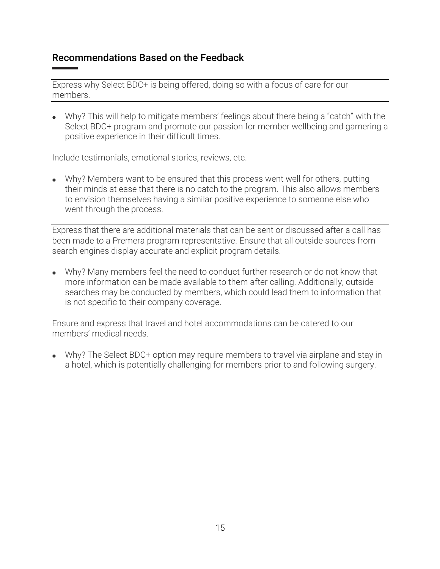#### Recommendations Based on the Feedback

Express why Select BDC+ is being offered, doing so with a focus of care for our members.

• Why? This will help to mitigate members' feelings about there being a "catch" with the Select BDC+ program and promote our passion for member wellbeing and garnering a positive experience in their difficult times.

Include testimonials, emotional stories, reviews, etc.

• Why? Members want to be ensured that this process went well for others, putting their minds at ease that there is no catch to the program. This also allows members to envision themselves having a similar positive experience to someone else who went through the process.

Express that there are additional materials that can be sent or discussed after a call has been made to a Premera program representative. Ensure that all outside sources from search engines display accurate and explicit program details.

• Why? Many members feel the need to conduct further research or do not know that more information can be made available to them after calling. Additionally, outside searches may be conducted by members, which could lead them to information that is not specific to their company coverage.

Ensure and express that travel and hotel accommodations can be catered to our members' medical needs.

• Why? The Select BDC+ option may require members to travel via airplane and stay in a hotel, which is potentially challenging for members prior to and following surgery.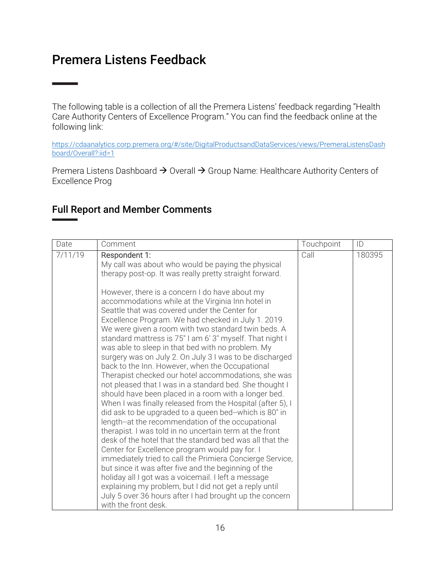### Premera Listens Feedback

**State State** 

The following table is a collection of all the Premera Listens' feedback regarding "Health Care Authority Centers of Excellence Program." You can find the feedback online at the following link:

https://cdaanalytics.corp.premera.org/#/site/DigitalProductsandDataServices/views/PremeraListensDash board/Overall?:iid=1

Premera Listens Dashboard  $\rightarrow$  Overall  $\rightarrow$  Group Name: Healthcare Authority Centers of Excellence Prog

#### Full Report and Member Comments

| Date    | Comment                                                                                                                                                                                                                                                                                                                                                                                                                                                                                                                                                                                                                                                                                                                                                                                                                                                                                                                                                                                                                                                                                                                                                                                                                                                                                                                                                                                                                                                                                      | Touchpoint | ID     |
|---------|----------------------------------------------------------------------------------------------------------------------------------------------------------------------------------------------------------------------------------------------------------------------------------------------------------------------------------------------------------------------------------------------------------------------------------------------------------------------------------------------------------------------------------------------------------------------------------------------------------------------------------------------------------------------------------------------------------------------------------------------------------------------------------------------------------------------------------------------------------------------------------------------------------------------------------------------------------------------------------------------------------------------------------------------------------------------------------------------------------------------------------------------------------------------------------------------------------------------------------------------------------------------------------------------------------------------------------------------------------------------------------------------------------------------------------------------------------------------------------------------|------------|--------|
| 7/11/19 | Respondent 1:<br>My call was about who would be paying the physical<br>therapy post-op. It was really pretty straight forward.<br>However, there is a concern I do have about my<br>accommodations while at the Virginia Inn hotel in<br>Seattle that was covered under the Center for<br>Excellence Program. We had checked in July 1. 2019.<br>We were given a room with two standard twin beds. A<br>standard mattress is 75" I am 6' 3" myself. That night I<br>was able to sleep in that bed with no problem. My<br>surgery was on July 2. On July 3 I was to be discharged<br>back to the Inn. However, when the Occupational<br>Therapist checked our hotel accommodations, she was<br>not pleased that I was in a standard bed. She thought I<br>should have been placed in a room with a longer bed.<br>When I was finally released from the Hospital (after 5), I<br>did ask to be upgraded to a queen bed--which is 80" in<br>length--at the recommendation of the occupational<br>therapist. I was told in no uncertain term at the front<br>desk of the hotel that the standard bed was all that the<br>Center for Excellence program would pay for. I<br>immediately tried to call the Primiera Concierge Service,<br>but since it was after five and the beginning of the<br>holiday all I got was a voicemail. I left a message<br>explaining my problem, but I did not get a reply until<br>July 5 over 36 hours after I had brought up the concern<br>with the front desk. | Call       | 180395 |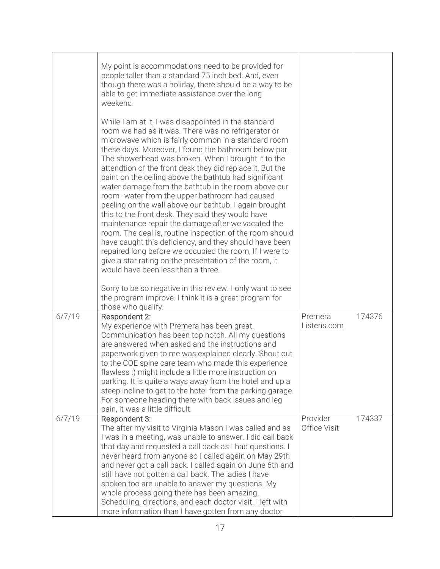|        | My point is accommodations need to be provided for<br>people taller than a standard 75 inch bed. And, even<br>though there was a holiday, there should be a way to be<br>able to get immediate assistance over the long<br>weekend.                                                                                                                                                                                                                                                                                                                                                                                                                                                                                                                                                                                                                                                                                                                                      |                          |        |
|--------|--------------------------------------------------------------------------------------------------------------------------------------------------------------------------------------------------------------------------------------------------------------------------------------------------------------------------------------------------------------------------------------------------------------------------------------------------------------------------------------------------------------------------------------------------------------------------------------------------------------------------------------------------------------------------------------------------------------------------------------------------------------------------------------------------------------------------------------------------------------------------------------------------------------------------------------------------------------------------|--------------------------|--------|
|        | While I am at it, I was disappointed in the standard<br>room we had as it was. There was no refrigerator or<br>microwave which is fairly common in a standard room<br>these days. Moreover, I found the bathroom below par.<br>The showerhead was broken. When I brought it to the<br>attendtion of the front desk they did replace it, But the<br>paint on the ceiling above the bathtub had significant<br>water damage from the bathtub in the room above our<br>room--water from the upper bathroom had caused<br>peeling on the wall above our bathtub. I again brought<br>this to the front desk. They said they would have<br>maintenance repair the damage after we vacated the<br>room. The deal is, routine inspection of the room should<br>have caught this deficiency, and they should have been<br>repaired long before we occupied the room, If I were to<br>give a star rating on the presentation of the room, it<br>would have been less than a three. |                          |        |
|        | Sorry to be so negative in this review. I only want to see<br>the program improve. I think it is a great program for<br>those who qualify.                                                                                                                                                                                                                                                                                                                                                                                                                                                                                                                                                                                                                                                                                                                                                                                                                               |                          |        |
| 6/7/19 | Respondent 2:<br>My experience with Premera has been great.<br>Communication has been top notch. All my questions<br>are answered when asked and the instructions and<br>paperwork given to me was explained clearly. Shout out<br>to the COE spine care team who made this experience<br>flawless :) might include a little more instruction on<br>parking. It is quite a ways away from the hotel and up a<br>steep incline to get to the hotel from the parking garage.<br>For someone heading there with back issues and leg<br>pain, it was a little difficult.                                                                                                                                                                                                                                                                                                                                                                                                     | Premera<br>Listens.com   | 174376 |
| 6/7/19 | Respondent 3:<br>The after my visit to Virginia Mason I was called and as<br>I was in a meeting, was unable to answer. I did call back<br>that day and requested a call back as I had questions. I<br>never heard from anyone so I called again on May 29th<br>and never got a call back. I called again on June 6th and<br>still have not gotten a call back. The ladies I have<br>spoken too are unable to answer my questions. My<br>whole process going there has been amazing.<br>Scheduling, directions, and each doctor visit. I left with<br>more information than I have gotten from any doctor                                                                                                                                                                                                                                                                                                                                                                 | Provider<br>Office Visit | 174337 |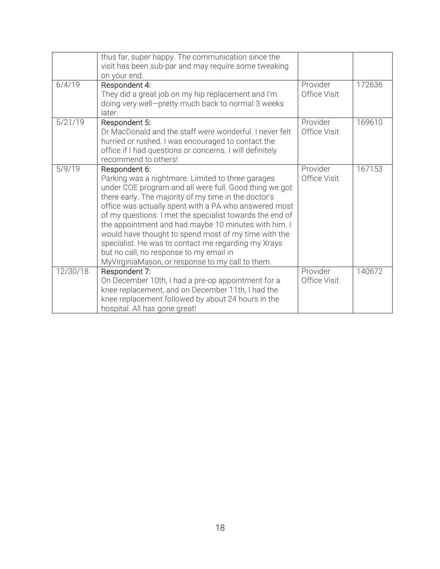|          | thus far, super happy. The communication since the<br>visit has been sub-par and may require some tweaking<br>on your end.                                                                                                                                                                                                                                                                                                                                                                                                                                                      |                          |        |
|----------|---------------------------------------------------------------------------------------------------------------------------------------------------------------------------------------------------------------------------------------------------------------------------------------------------------------------------------------------------------------------------------------------------------------------------------------------------------------------------------------------------------------------------------------------------------------------------------|--------------------------|--------|
| 6/4/19   | Respondent 4:<br>They did a great job on my hip replacement and I'm<br>doing very well-pretty much back to normal 3 weeks<br>later.                                                                                                                                                                                                                                                                                                                                                                                                                                             | Provider<br>Office Visit | 172636 |
| 5/21/19  | Respondent 5:<br>Dr MacDonald and the staff were wonderful. I never felt<br>hurried or rushed. I was encouraged to contact the<br>office if I had questions or concerns. I will definitely<br>recommend to others!                                                                                                                                                                                                                                                                                                                                                              | Provider<br>Office Visit | 169610 |
| 5/9/19   | Respondent 6:<br>Parking was a nightmare. Limited to three garages<br>under COE program and all were full. Good thing we got<br>there early. The majority of my time in the doctor's<br>office was actually spent with a PA who answered most<br>of my questions. I met the specialist towards the end of<br>the appointment and had maybe 10 minutes with him. I<br>would have thought to spend most of my time with the<br>specialist. He was to contact me regarding my Xrays<br>but no call, no response to my email in<br>MyVirginiaMason, or response to my call to them. | Provider<br>Office Visit | 167153 |
| 12/30/18 | Respondent 7:<br>On December 10th, I had a pre-op appointment for a<br>knee replacement, and on December 11th, I had the<br>knee replacement followed by about 24 hours in the<br>hospital. All has gone great!                                                                                                                                                                                                                                                                                                                                                                 | Provider<br>Office Visit | 140672 |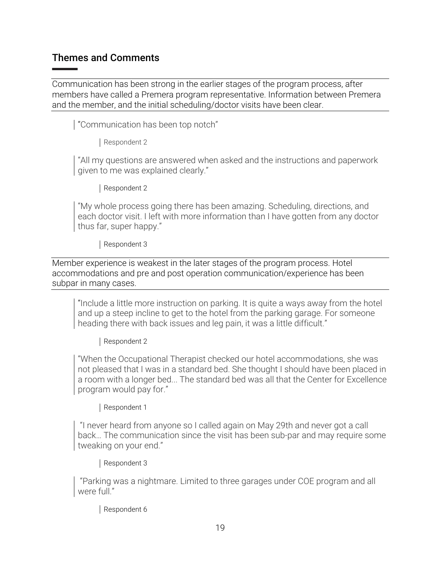#### Themes and Comments

Communication has been strong in the earlier stages of the program process, after members have called a Premera program representative. Information between Premera and the member, and the initial scheduling/doctor visits have been clear.

"Communication has been top notch"

Respondent 2

"All my questions are answered when asked and the instructions and paperwork given to me was explained clearly."

Respondent 2

"My whole process going there has been amazing. Scheduling, directions, and each doctor visit. I left with more information than I have gotten from any doctor thus far, super happy."

Respondent 3

Member experience is weakest in the later stages of the program process. Hotel accommodations and pre and post operation communication/experience has been subpar in many cases.

"Include a little more instruction on parking. It is quite a ways away from the hotel and up a steep incline to get to the hotel from the parking garage. For someone heading there with back issues and leg pain, it was a little difficult."

Respondent 2

"When the Occupational Therapist checked our hotel accommodations, she was not pleased that I was in a standard bed. She thought I should have been placed in a room with a longer bed... The standard bed was all that the Center for Excellence program would pay for."

Respondent 1

"I never heard from anyone so I called again on May 29th and never got a call back… The communication since the visit has been sub-par and may require some tweaking on your end."

Respondent 3

"Parking was a nightmare. Limited to three garages under COE program and all were full."

Respondent 6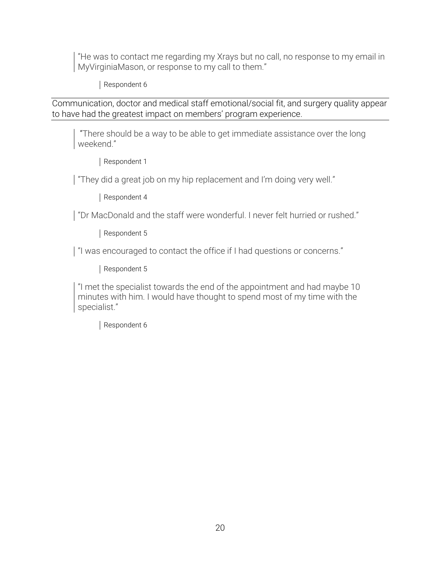"He was to contact me regarding my Xrays but no call, no response to my email in MyVirginiaMason, or response to my call to them."

Respondent 6

Communication, doctor and medical staff emotional/social fit, and surgery quality appear to have had the greatest impact on members' program experience.

"There should be a way to be able to get immediate assistance over the long weekend."

Respondent 1

"They did a great job on my hip replacement and I'm doing very well."

Respondent 4

"Dr MacDonald and the staff were wonderful. I never felt hurried or rushed."

Respondent 5

"I was encouraged to contact the office if I had questions or concerns."

Respondent 5

"I met the specialist towards the end of the appointment and had maybe 10 minutes with him. I would have thought to spend most of my time with the specialist."

Respondent 6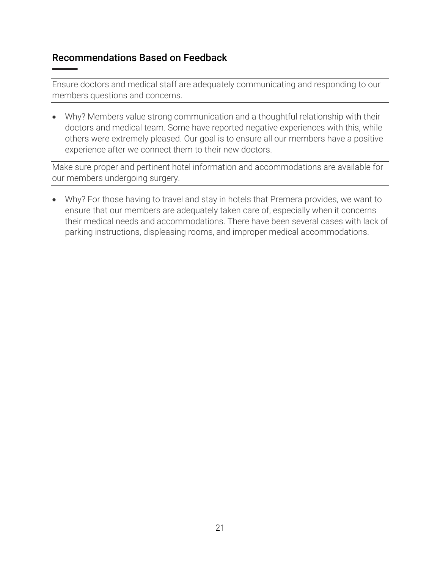#### Recommendations Based on Feedback

Ensure doctors and medical staff are adequately communicating and responding to our members questions and concerns.

• Why? Members value strong communication and a thoughtful relationship with their doctors and medical team. Some have reported negative experiences with this, while others were extremely pleased. Our goal is to ensure all our members have a positive experience after we connect them to their new doctors.

Make sure proper and pertinent hotel information and accommodations are available for our members undergoing surgery.

• Why? For those having to travel and stay in hotels that Premera provides, we want to ensure that our members are adequately taken care of, especially when it concerns their medical needs and accommodations. There have been several cases with lack of parking instructions, displeasing rooms, and improper medical accommodations.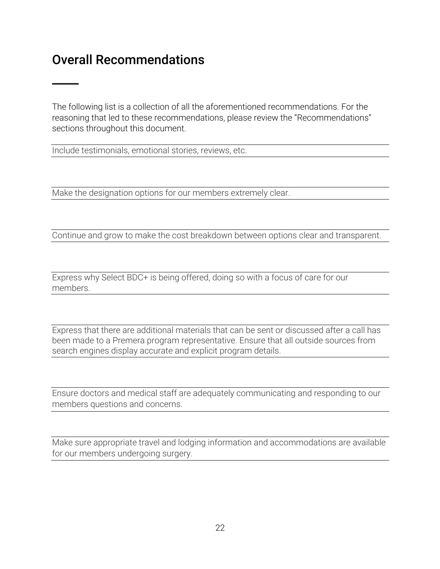## Overall Recommendations

The following list is a collection of all the aforementioned recommendations. For the reasoning that led to these recommendations, please review the "Recommendations" sections throughout this document.

Include testimonials, emotional stories, reviews, etc.

Make the designation options for our members extremely clear.

Continue and grow to make the cost breakdown between options clear and transparent.

Express why Select BDC+ is being offered, doing so with a focus of care for our members.

Express that there are additional materials that can be sent or discussed after a call has been made to a Premera program representative. Ensure that all outside sources from search engines display accurate and explicit program details.

Ensure doctors and medical staff are adequately communicating and responding to our members questions and concerns.

Make sure appropriate travel and lodging information and accommodations are available for our members undergoing surgery.